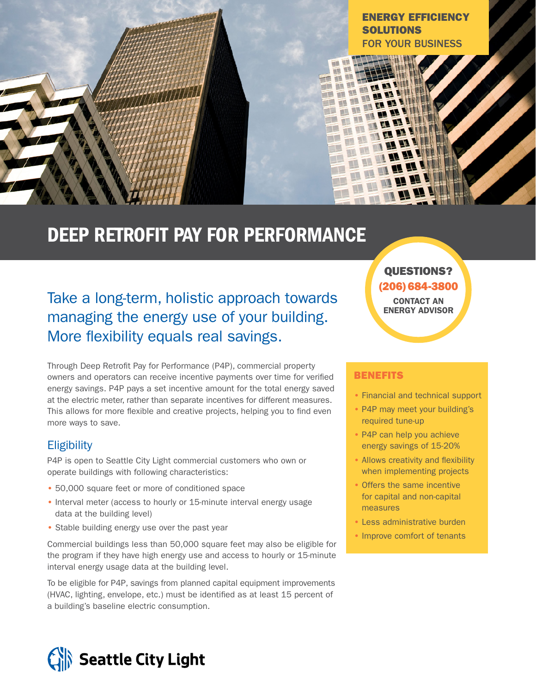

# DEEP RETROFIT PAY FOR PERFORMANCE

## Take a long-term, holistic approach towards managing the energy use of your building. More flexibility equals real savings.

Through Deep Retrofit Pay for Performance (P4P), commercial property owners and operators can receive incentive payments over time for verified energy savings. P4P pays a set incentive amount for the total energy saved at the electric meter, rather than separate incentives for different measures. This allows for more flexible and creative projects, helping you to find even more ways to save.

#### **Eligibility**

P4P is open to Seattle City Light commercial customers who own or operate buildings with following characteristics:

- 50,000 square feet or more of conditioned space
- Interval meter (access to hourly or 15-minute interval energy usage data at the building level)
- Stable building energy use over the past year

Commercial buildings less than 50,000 square feet may also be eligible for the program if they have high energy use and access to hourly or 15-minute interval energy usage data at the building level.

To be eligible for P4P, savings from planned capital equipment improvements (HVAC, lighting, envelope, etc.) must be identified as at least 15 percent of a building's baseline electric consumption.

### QUESTIONS? (206) 684-3800 CONTACT AN

ENERGY ADVISOR

#### **BENEFITS**

- Financial and technical support
- P4P may meet your building's required tune-up
- P4P can help you achieve energy savings of 15-20%
- Allows creativity and flexibility when implementing projects
- Offers the same incentive for capital and non-capital measures
- Less administrative burden
- Improve comfort of tenants